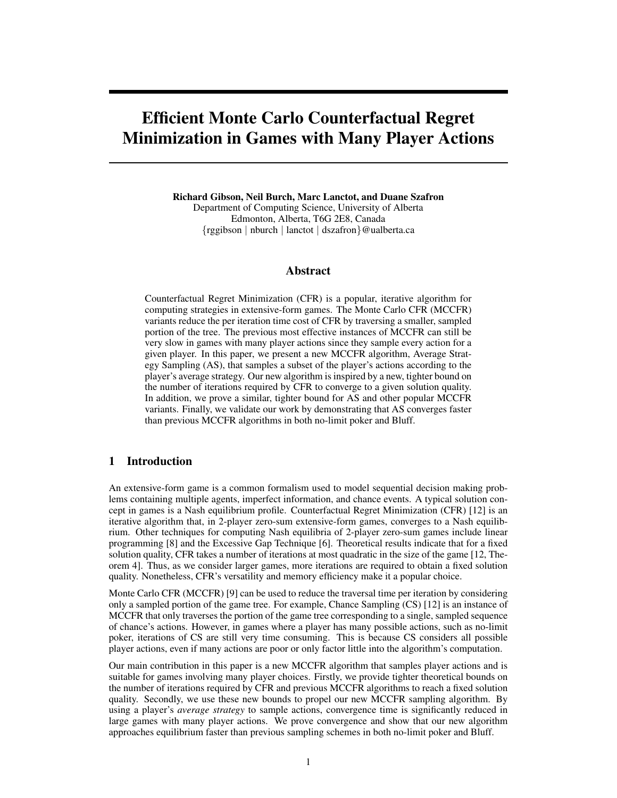# Efficient Monte Carlo Counterfactual Regret Minimization in Games with Many Player Actions

Richard Gibson, Neil Burch, Marc Lanctot, and Duane Szafron Department of Computing Science, University of Alberta Edmonton, Alberta, T6G 2E8, Canada {rggibson | nburch | lanctot | dszafron}@ualberta.ca

## Abstract

Counterfactual Regret Minimization (CFR) is a popular, iterative algorithm for computing strategies in extensive-form games. The Monte Carlo CFR (MCCFR) variants reduce the per iteration time cost of CFR by traversing a smaller, sampled portion of the tree. The previous most effective instances of MCCFR can still be very slow in games with many player actions since they sample every action for a given player. In this paper, we present a new MCCFR algorithm, Average Strategy Sampling (AS), that samples a subset of the player's actions according to the player's average strategy. Our new algorithm is inspired by a new, tighter bound on the number of iterations required by CFR to converge to a given solution quality. In addition, we prove a similar, tighter bound for AS and other popular MCCFR variants. Finally, we validate our work by demonstrating that AS converges faster than previous MCCFR algorithms in both no-limit poker and Bluff.

## 1 Introduction

An extensive-form game is a common formalism used to model sequential decision making problems containing multiple agents, imperfect information, and chance events. A typical solution concept in games is a Nash equilibrium profile. Counterfactual Regret Minimization (CFR) [12] is an iterative algorithm that, in 2-player zero-sum extensive-form games, converges to a Nash equilibrium. Other techniques for computing Nash equilibria of 2-player zero-sum games include linear programming [8] and the Excessive Gap Technique [6]. Theoretical results indicate that for a fixed solution quality, CFR takes a number of iterations at most quadratic in the size of the game [12, Theorem 4]. Thus, as we consider larger games, more iterations are required to obtain a fixed solution quality. Nonetheless, CFR's versatility and memory efficiency make it a popular choice.

Monte Carlo CFR (MCCFR) [9] can be used to reduce the traversal time per iteration by considering only a sampled portion of the game tree. For example, Chance Sampling (CS) [12] is an instance of MCCFR that only traverses the portion of the game tree corresponding to a single, sampled sequence of chance's actions. However, in games where a player has many possible actions, such as no-limit poker, iterations of CS are still very time consuming. This is because CS considers all possible player actions, even if many actions are poor or only factor little into the algorithm's computation.

Our main contribution in this paper is a new MCCFR algorithm that samples player actions and is suitable for games involving many player choices. Firstly, we provide tighter theoretical bounds on the number of iterations required by CFR and previous MCCFR algorithms to reach a fixed solution quality. Secondly, we use these new bounds to propel our new MCCFR sampling algorithm. By using a player's *average strategy* to sample actions, convergence time is significantly reduced in large games with many player actions. We prove convergence and show that our new algorithm approaches equilibrium faster than previous sampling schemes in both no-limit poker and Bluff.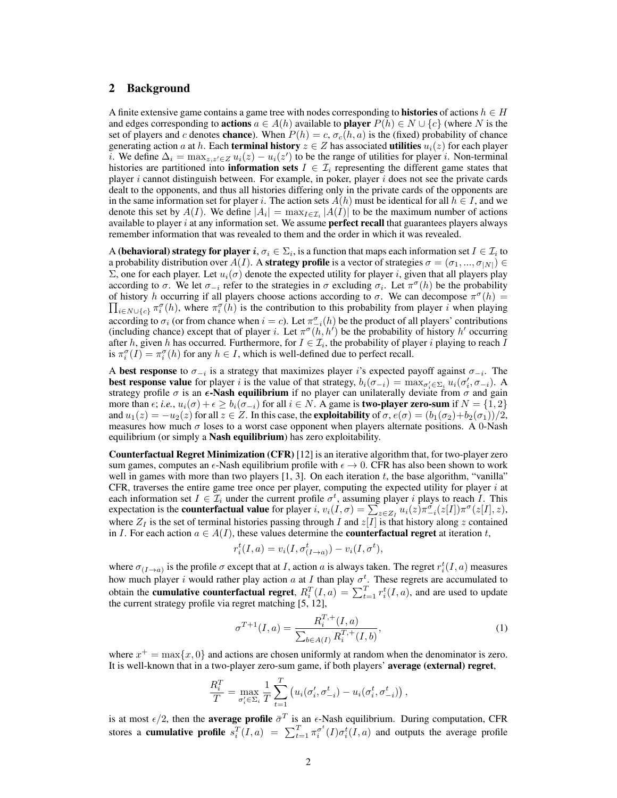## 2 Background

A finite extensive game contains a game tree with nodes corresponding to **histories** of actions  $h \in H$ and edges corresponding to **actions**  $a \in A(h)$  available to **player**  $P(h) \in N \cup \{c\}$  (where N is the set of players and c denotes **chance**). When  $P(h) = c$ ,  $\sigma_c(h, a)$  is the (fixed) probability of chance generating action a at h. Each **terminal history**  $z \in Z$  has associated **utilities**  $u_i(z)$  for each player i. We define  $\Delta_i = \max_{z,z'\in Z} u_i(z) - u_i(z')$  to be the range of utilities for player i. Non-terminal histories are partitioned into **information sets**  $I \in \mathcal{I}_i$  representing the different game states that player  $i$  cannot distinguish between. For example, in poker, player  $i$  does not see the private cards dealt to the opponents, and thus all histories differing only in the private cards of the opponents are in the same information set for player i. The action sets  $A(h)$  must be identical for all  $h \in I$ , and we denote this set by  $A(I)$ . We define  $|A_i| = \max_{I \in \mathcal{I}_i} |A(I)|$  to be the maximum number of actions available to player  $i$  at any information set. We assume **perfect recall** that guarantees players always remember information that was revealed to them and the order in which it was revealed.

A (**behavioral) strategy for player**  $i,\sigma_i\in\Sigma_i,$  **is a function that maps each information set**  $I\in\mathcal{I}_i$  **to** a probability distribution over  $A(I)$ . A **strategy profile** is a vector of strategies  $\sigma = (\sigma_1, ..., \sigma_{|N|}) \in$ Σ, one for each player. Let  $u_i(\sigma)$  denote the expected utility for player *i*, given that all players play according to  $\sigma$ . We let  $\sigma_{-i}$  refer to the strategies in  $\sigma$  excluding  $\sigma_i$ . Let  $\pi^{\sigma}(h)$  be the probability of history h occurring if all players choose actions according to  $\sigma$ . We can decompose  $\pi^{\sigma}(h)$  =  $\prod_{i\in N\cup\{c\}} \pi_i^{\sigma}(h)$ , where  $\pi_i^{\sigma}(h)$  is the contribution to this probability from player i when playing according to  $\sigma_i$  (or from chance when  $i = c$ ). Let  $\pi_{-i}^{\sigma}(h)$  be the product of all players' contributions (including chance) except that of player i. Let  $\pi^{\sigma}(h, h')$  be the probability of history h' occurring after h, given h has occurred. Furthermore, for  $I \in \mathcal{I}_i$ , the probability of player i playing to reach I is  $\pi_i^{\sigma}(I) = \pi_i^{\sigma}(h)$  for any  $h \in I$ , which is well-defined due to perfect recall.

A best response to  $\sigma_{-i}$  is a strategy that maximizes player i's expected payoff against  $\sigma_{-i}$ . The **best response value** for player i is the value of that strategy,  $b_i(\sigma_{-i}) = \max_{\sigma'_i \in \Sigma_i} u_i(\sigma'_i, \sigma_{-i})$ . A strategy profile  $\sigma$  is an  $\epsilon$ -Nash equilibrium if no player can unilaterally deviate from  $\sigma$  and gain more than  $\epsilon$ ; *i.e.*,  $u_i(\sigma) + \epsilon \ge b_i(\sigma_{-i})$  for all  $i \in N$ . A game is **two-player zero-sum** if  $N = \{1, 2\}$ and  $u_1(z) = -u_2(z)$  for all  $z \in Z$ . In this case, the **exploitability** of  $\sigma$ ,  $e(\sigma) = (b_1(\sigma_2) + b_2(\sigma_1))/2$ , measures how much  $\sigma$  loses to a worst case opponent when players alternate positions. A 0-Nash equilibrium (or simply a **Nash equilibrium**) has zero exploitability.

Counterfactual Regret Minimization (CFR) [12] is an iterative algorithm that, for two-player zero sum games, computes an  $\epsilon$ -Nash equilibrium profile with  $\epsilon \to 0$ . CFR has also been shown to work well in games with more than two players  $[1, 3]$ . On each iteration  $t$ , the base algorithm, "vanilla" CFR, traverses the entire game tree once per player, computing the expected utility for player  $i$  at each information set  $I \in \mathcal{I}_i$  under the current profile  $\sigma^t$ , assuming player i plays to reach I. This expectation is the **counterfactual value** for player i,  $v_i(I, \sigma) = \sum_{z \in Z_I} u_i(z) \pi \frac{\sigma}{2} i(z[I]) \pi^{\sigma}(z[I], z)$ , where  $Z_I$  is the set of terminal histories passing through I and  $z[I]$  is that history along z contained in I. For each action  $a \in A(I)$ , these values determine the **counterfactual regret** at iteration t,

$$
r_i^t(I, a) = v_i(I, \sigma_{(I \to a)}^t) - v_i(I, \sigma^t),
$$

where  $\sigma_{(I\to a)}$  is the profile  $\sigma$  except that at I, action a is always taken. The regret  $r_i^t(I, a)$  measures how much player i would rather play action a at I than play  $\sigma^t$ . These regrets are accumulated to obtain the **cumulative counterfactual regret**,  $R_i^T(I, a) = \sum_{t=1}^T r_i^t(I, a)$ , and are used to update the current strategy profile via regret matching [5, 12],

$$
\sigma^{T+1}(I,a) = \frac{R_i^{T,+}(I,a)}{\sum_{b \in A(I)} R_i^{T,+}(I,b)},\tag{1}
$$

where  $x^+ = \max\{x, 0\}$  and actions are chosen uniformly at random when the denominator is zero. It is well-known that in a two-player zero-sum game, if both players' average (external) regret,

$$
\frac{R_i^T}{T} = \max_{\sigma_i' \in \Sigma_i} \frac{1}{T} \sum_{t=1}^T \left( u_i(\sigma_i', \sigma_{-i}^t) - u_i(\sigma_i^t, \sigma_{-i}^t) \right),
$$

is at most  $\epsilon/2$ , then the **average profile**  $\bar{\sigma}^T$  is an  $\epsilon$ -Nash equilibrium. During computation, CFR stores a **cumulative profile**  $s_i^T(I,a) = \sum_{t=1}^T \pi_i^{\sigma^t}(I) \sigma_i^t(I,a)$  and outputs the average profile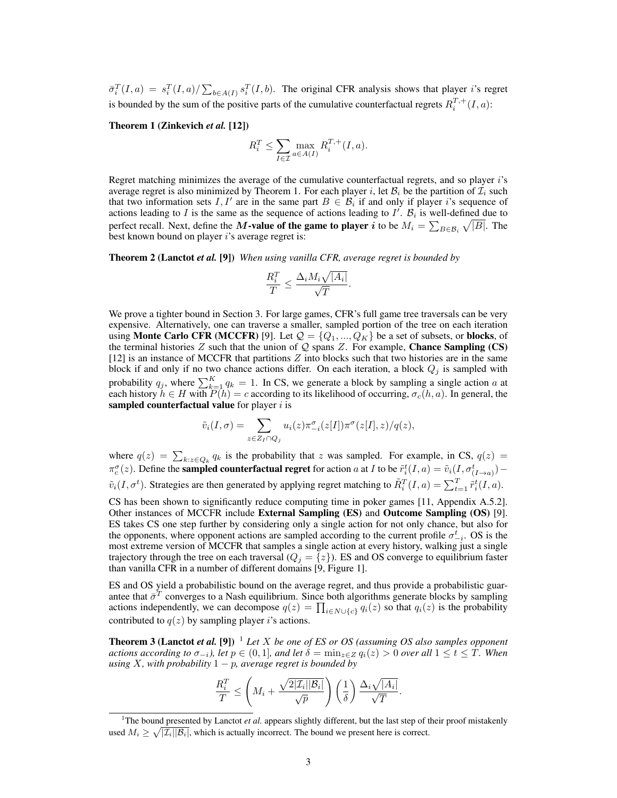$\bar{\sigma}_i^T(I,a) = s_i^T(I,a)/\sum_{b \in A(I)} s_i^T(I,b)$ . The original CFR analysis shows that player *i*'s regret is bounded by the sum of the positive parts of the cumulative counterfactual regrets  $R_i^{T,+}(I,a)$ :

#### Theorem 1 (Zinkevich *et al.* [12])

$$
R_i^T \le \sum_{I \in \mathcal{I}} \max_{a \in A(I)} R_i^{T,+}(I,a).
$$

Regret matching minimizes the average of the cumulative counterfactual regrets, and so player i's average regret is also minimized by Theorem 1. For each player i, let  $\mathcal{B}_i$  be the partition of  $\mathcal{I}_i$  such that two information sets I, I' are in the same part  $B \in \mathcal{B}_i$  if and only if player i's sequence of actions leading to I is the same as the sequence of actions leading to  $I'$ .  $\mathcal{B}_i$  is well-defined due to perfect recall. Next, define the M-value of the game to player i to be  $M_i = \sum_{B \in \mathcal{B}_i} \sqrt{|B|}$ . The best known bound on player  $i$ 's average regret is:

Theorem 2 (Lanctot *et al.* [9]) *When using vanilla CFR, average regret is bounded by*

$$
\frac{R_i^T}{T} \le \frac{\Delta_i M_i \sqrt{|A_i|}}{\sqrt{T}}.
$$

We prove a tighter bound in Section 3. For large games, CFR's full game tree traversals can be very expensive. Alternatively, one can traverse a smaller, sampled portion of the tree on each iteration using **Monte Carlo CFR** (MCCFR) [9]. Let  $Q = \{Q_1, ..., Q_K\}$  be a set of subsets, or **blocks**, of the terminal histories  $Z$  such that the union of  $Q$  spans  $Z$ . For example, **Chance Sampling (CS)** [12] is an instance of MCCFR that partitions  $Z$  into blocks such that two histories are in the same block if and only if no two chance actions differ. On each iteration, a block  $Q_j$  is sampled with probability  $q_j$ , where  $\sum_{k=1}^{K} q_k = 1$ . In CS, we generate a block by sampling a single action a at each history  $h \in H$  with  $P(h) = c$  according to its likelihood of occurring,  $\sigma_c(h, a)$ . In general, the sampled counterfactual value for player  $i$  is

$$
\tilde{v}_i(I,\sigma) = \sum_{z \in Z_I \cap Q_j} u_i(z) \pi_{-i}^{\sigma}(z[I]) \pi^{\sigma}(z[I],z)/q(z),
$$

where  $q(z) = \sum_{k:z \in Q_k} q_k$  is the probability that z was sampled. For example, in CS,  $q(z)$  $\pi_c^{\sigma}(z)$ . Define the **sampled counterfactual regret** for action a at I to be  $\tilde{r}_i^t(I,a) = \tilde{v}_i(I,\sigma_{(I\to a)}^t)$  $\tilde{v}_i(I, \sigma^t)$ . Strategies are then generated by applying regret matching to  $\tilde{R}_i^T(I, a) = \sum_{t=1}^T \tilde{r}_i^t(I, a)$ .

CS has been shown to significantly reduce computing time in poker games [11, Appendix A.5.2]. Other instances of MCCFR include External Sampling (ES) and Outcome Sampling (OS) [9]. ES takes CS one step further by considering only a single action for not only chance, but also for the opponents, where opponent actions are sampled according to the current profile  $\sigma_{-i}^t$ . OS is the most extreme version of MCCFR that samples a single action at every history, walking just a single trajectory through the tree on each traversal ( $Q_j = \{z\}$ ). ES and OS converge to equilibrium faster than vanilla CFR in a number of different domains [9, Figure 1].

ES and OS yield a probabilistic bound on the average regret, and thus provide a probabilistic guarantee that  $\bar{\sigma}^T$  converges to a Nash equilibrium. Since both algorithms generate blocks by sampling actions independently, we can decompose  $q(z) = \prod_{i \in N \cup \{c\}} q_i(z)$  so that  $q_i(z)$  is the probability contributed to  $q(z)$  by sampling player i's actions.

**Theorem 3 (Lanctot** *et al.* **[9])** <sup>1</sup> *Let* X *be one of ES or OS (assuming OS also samples opponent actions according to*  $\sigma_{-i}$ *), let*  $p \in (0, 1]$ *, and let*  $\delta = \min_{z \in Z} q_i(z) > 0$  *over all*  $1 \le t \le T$ *. When using*  $X$ *, with probability*  $1 - p$ *, average regret is bounded by* 

$$
\frac{R_i^T}{T} \le \left(M_i + \frac{\sqrt{2|\mathcal{I}_i||\mathcal{B}_i|}}{\sqrt{p}}\right) \left(\frac{1}{\delta}\right) \frac{\Delta_i \sqrt{|A_i|}}{\sqrt{T}}.
$$

<sup>&</sup>lt;sup>1</sup>The bound presented by Lanctot *et al.* appears slightly different, but the last step of their proof mistakenly used  $M_i \geq \sqrt{|\mathcal{I}_i||\mathcal{B}_i|}$ , which is actually incorrect. The bound we present here is correct.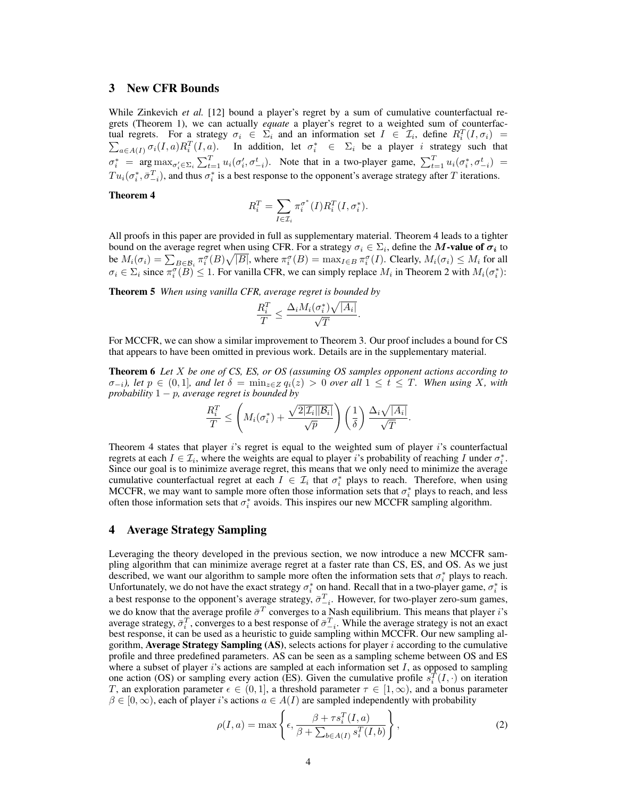## 3 New CFR Bounds

While Zinkevich *et al.* [12] bound a player's regret by a sum of cumulative counterfactual regrets (Theorem 1), we can actually *equate* a player's regret to a weighted sum of counterfactual regrets. For a strategy  $\sigma_i \in \Sigma_i$  and an information set  $I \in \mathcal{I}_i$ , define  $R_i^T(I, \sigma_i) =$  $\sum_{a \in A(I)} \sigma_i(I, a) R_i^T(I, a)$ . In addition, let  $\sigma_i^* \in \Sigma_i$  be a player i strategy such that  $\sigma_i^* = \arg \max_{\sigma_i' \in \Sigma_i} \sum_{t=1}^T u_i(\sigma_i', \sigma_{-i}^t)$ . Note that in a two-player game,  $\sum_{t=1}^T u_i(\sigma_i^*, \sigma_{-i}^t)$  $Tu_i(\sigma_i^*, \bar{\sigma}_{-i}^T)$ , and thus  $\sigma_i^*$  is a best response to the opponent's average strategy after T iterations.

#### Theorem 4

$$
R_i^T = \sum_{I \in \mathcal{I}_i} \pi_i^{\sigma^*}(I) R_i^T(I, \sigma_i^*).
$$

All proofs in this paper are provided in full as supplementary material. Theorem 4 leads to a tighter bound on the average regret when using CFR. For a strategy  $\sigma_i \in \Sigma_i$ , define the  $M$ -value of  $\sigma_i$  to be  $M_i(\sigma_i) = \sum_{B \in \mathcal{B}_i} \pi_i^{\sigma}(B) \sqrt{|B|}$ , where  $\pi_i^{\sigma}(B) = \max_{I \in B} \pi_i^{\sigma}(I)$ . Clearly,  $M_i(\sigma_i) \leq M_i$  for all  $\sigma_i \in \Sigma_i$  since  $\pi_i^{\sigma}(\overline{B}) \leq 1$ . For vanilla CFR, we can simply replace  $M_i$  in Theorem 2 with  $M_i(\sigma_i^*)$ :

Theorem 5 *When using vanilla CFR, average regret is bounded by*

$$
\frac{R_i^T}{T} \le \frac{\Delta_i M_i(\sigma_i^*) \sqrt{|A_i|}}{\sqrt{T}}.
$$

For MCCFR, we can show a similar improvement to Theorem 3. Our proof includes a bound for CS that appears to have been omitted in previous work. Details are in the supplementary material.

Theorem 6 *Let* X *be one of CS, ES, or OS (assuming OS samples opponent actions according to*  $\sigma_{-i}$ *), let*  $p \in (0,1]$ *, and let*  $\delta = \min_{z \in Z} q_i(z) > 0$  *over all*  $1 \le t \le T$ *. When using* X*, with probability* 1 − p*, average regret is bounded by*

$$
\frac{R_i^T}{T} \le \left(M_i(\sigma_i^*) + \frac{\sqrt{2|\mathcal{I}_i||\mathcal{B}_i|}}{\sqrt{p}}\right) \left(\frac{1}{\delta}\right) \frac{\Delta_i\sqrt{|A_i|}}{\sqrt{T}}.
$$

Theorem 4 states that player  $i$ 's regret is equal to the weighted sum of player  $i$ 's counterfactual regrets at each  $I \in \mathcal{I}_i$ , where the weights are equal to player i's probability of reaching I under  $\sigma_i^*$ . Since our goal is to minimize average regret, this means that we only need to minimize the average cumulative counterfactual regret at each  $I \in \mathcal{I}_i$  that  $\sigma_i^*$  plays to reach. Therefore, when using MCCFR, we may want to sample more often those information sets that  $\sigma_i^*$  plays to reach, and less often those information sets that  $\sigma_i^*$  avoids. This inspires our new MCCFR sampling algorithm.

### 4 Average Strategy Sampling

Leveraging the theory developed in the previous section, we now introduce a new MCCFR sampling algorithm that can minimize average regret at a faster rate than CS, ES, and OS. As we just described, we want our algorithm to sample more often the information sets that  $\sigma_i^*$  plays to reach. Unfortunately, we do not have the exact strategy  $\sigma_i^*$  on hand. Recall that in a two-player game,  $\sigma_i^*$  is a best response to the opponent's average strategy,  $\bar{\sigma}_{-i}^T$ . However, for two-player zero-sum games, we do know that the average profile  $\bar{\sigma}^T$  converges to a Nash equilibrium. This means that player *i*'s average strategy,  $\bar{\sigma}_i^T$ , converges to a best response of  $\bar{\sigma}_{-i}^T$ . While the average strategy is not an exact best response, it can be used as a heuristic to guide sampling within MCCFR. Our new sampling algorithm, Average Strategy Sampling  $(AS)$ , selects actions for player i according to the cumulative profile and three predefined parameters. AS can be seen as a sampling scheme between OS and ES where a subset of player i's actions are sampled at each information set  $I$ , as opposed to sampling one action (OS) or sampling every action (ES). Given the cumulative profile  $s_i^T(I, \cdot)$  on iteration T, an exploration parameter  $\epsilon \in (0,1]$ , a threshold parameter  $\tau \in [1,\infty)$ , and a bonus parameter  $\beta \in [0,\infty)$ , each of player i's actions  $a \in A(I)$  are sampled independently with probability

$$
\rho(I, a) = \max \left\{ \epsilon, \frac{\beta + \tau s_i^T(I, a)}{\beta + \sum_{b \in A(I)} s_i^T(I, b)} \right\},\tag{2}
$$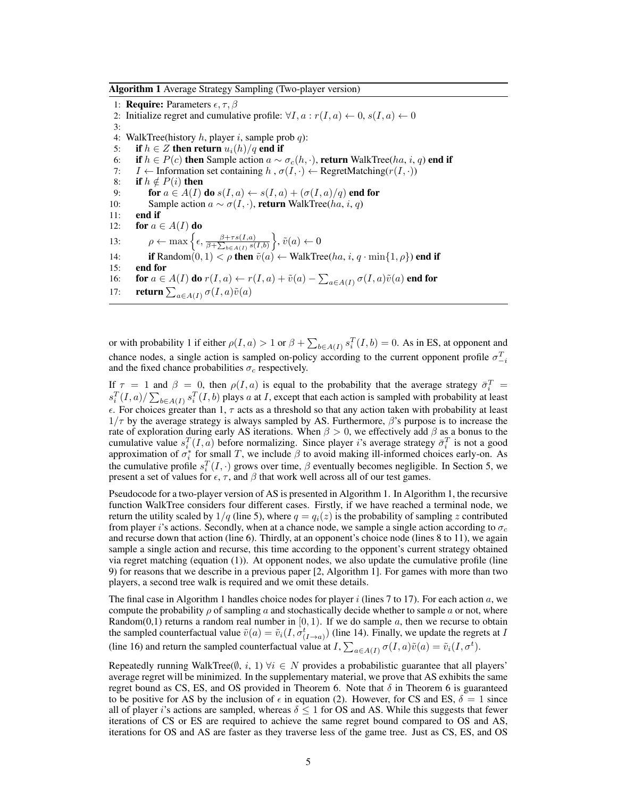Algorithm 1 Average Strategy Sampling (Two-player version)

1: **Require:** Parameters  $\epsilon, \tau, \beta$ 2: Initialize regret and cumulative profile:  $\forall I, a : r(I, a) \leftarrow 0, s(I, a) \leftarrow 0$ 3: 4: WalkTree(history h, player i, sample prob q): 5: if  $h \in Z$  then return  $u_i(h)/q$  end if 6: if  $h \in P(c)$  then Sample action  $a \sim \sigma_c(h, \cdot)$ , return WalkTree(*ha*, *i*, *q*) end if <br>7: *I* ← Information set containing  $h \cdot \sigma(I, \cdot)$  ← RegretMatching( $r(I, \cdot)$ )  $I \leftarrow$  Information set containing h,  $\sigma(I, \cdot)$  ← RegretMatching( $r(I, \cdot)$ ) 8: if  $h \notin P(i)$  then 9: **for**  $a \in A(I)$  do  $s(I, a) \leftarrow s(I, a) + (\sigma(I, a)/q)$  end for 10: Sample action  $a \sim \sigma(I, \cdot)$ , return WalkTree(ha, i, q) 11: end if 12: for  $a \in A(I)$  do 13:  $\rho \leftarrow \max\left\{\epsilon, \frac{\beta + \tau s(I,a)}{s+1} \right\}$  $\frac{\beta+\tau s(I,a)}{\beta+\sum_{b\in A(I)} s(I,b)}\Big\}, \tilde{v}(a)\leftarrow 0$ 14: **if** Random $(0, 1) < \rho$  then  $\tilde{v}(a) \leftarrow$  WalkTree(*ha*, *i*, *q* · min{1,  $\rho$ }) end if 15: end for 16: **for**  $a \in A(I)$  do  $r(I,a) \leftarrow r(I,a) + \tilde{v}(a) - \sum_{a \in A(I)} \sigma(I,a) \tilde{v}(a)$  end for 17: **return**  $\sum_{a \in A(I)} \sigma(I, a)\tilde{v}(a)$ 

or with probability 1 if either  $\rho(I,a) > 1$  or  $\beta + \sum_{b \in A(I)} s_i^T(I,b) = 0$ . As in ES, at opponent and chance nodes, a single action is sampled on-policy according to the current opponent profile  $\sigma_{-i}^T$ and the fixed chance probabilities  $\sigma_c$  respectively.

If  $\tau = 1$  and  $\beta = 0$ , then  $\rho(I, a)$  is equal to the probability that the average strategy  $\bar{\sigma}_i^T =$  $s_i^T(I,a)/\sum_{b\in A(I)} s_i^T(I,b)$  plays a at I, except that each action is sampled with probability at least  $\epsilon$ . For choices greater than 1,  $\tau$  acts as a threshold so that any action taken with probability at least  $1/\tau$  by the average strategy is always sampled by AS. Furthermore,  $\beta$ 's purpose is to increase the rate of exploration during early AS iterations. When  $\beta > 0$ , we effectively add  $\beta$  as a bonus to the cumulative value  $s_i^T(I, a)$  before normalizing. Since player i's average strategy  $\bar{\sigma}_i^T$  is not a good approximation of  $\sigma_i^*$  for small T, we include  $\beta$  to avoid making ill-informed choices early-on. As the cumulative profile  $s_i^T(I, \cdot)$  grows over time,  $\beta$  eventually becomes negligible. In Section 5, we present a set of values for  $\epsilon$ ,  $\tau$ , and  $\beta$  that work well across all of our test games.

Pseudocode for a two-player version of AS is presented in Algorithm 1. In Algorithm 1, the recursive function WalkTree considers four different cases. Firstly, if we have reached a terminal node, we return the utility scaled by  $1/q$  (line 5), where  $q = q_i(z)$  is the probability of sampling z contributed from player i's actions. Secondly, when at a chance node, we sample a single action according to  $\sigma_c$ and recurse down that action (line 6). Thirdly, at an opponent's choice node (lines 8 to 11), we again sample a single action and recurse, this time according to the opponent's current strategy obtained via regret matching (equation (1)). At opponent nodes, we also update the cumulative profile (line 9) for reasons that we describe in a previous paper [2, Algorithm 1]. For games with more than two players, a second tree walk is required and we omit these details.

The final case in Algorithm 1 handles choice nodes for player  $i$  (lines 7 to 17). For each action  $a$ , we compute the probability  $\rho$  of sampling a and stochastically decide whether to sample a or not, where Random(0,1) returns a random real number in  $[0, 1)$ . If we do sample a, then we recurse to obtain the sampled counterfactual value  $\tilde{v}(a) = \tilde{v}_i(I, \sigma^t(I \to a))$  (line 14). Finally, we update the regrets at I (line 16) and return the sampled counterfactual value at  $I$ ,  $\sum_{a \in A(I)} \sigma(I, a) \tilde{v}(a) = \tilde{v}_i(I, \sigma^t)$ .

Repeatedly running WalkTree( $\emptyset$ , i, 1)  $\forall i \in N$  provides a probabilistic guarantee that all players' average regret will be minimized. In the supplementary material, we prove that AS exhibits the same regret bound as CS, ES, and OS provided in Theorem 6. Note that  $\delta$  in Theorem 6 is guaranteed to be positive for AS by the inclusion of  $\epsilon$  in equation (2). However, for CS and ES,  $\delta = 1$  since all of player i's actions are sampled, whereas  $\delta \leq 1$  for OS and AS. While this suggests that fewer iterations of CS or ES are required to achieve the same regret bound compared to OS and AS, iterations for OS and AS are faster as they traverse less of the game tree. Just as CS, ES, and OS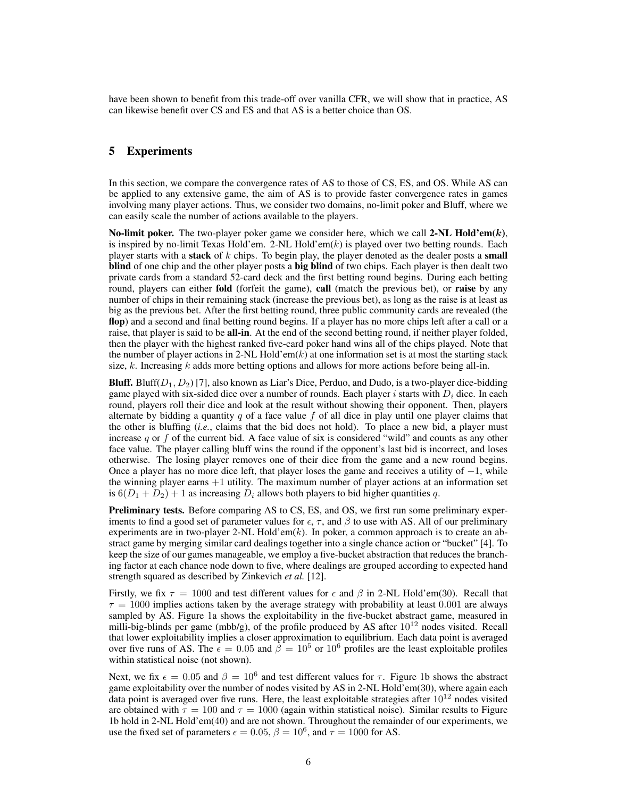have been shown to benefit from this trade-off over vanilla CFR, we will show that in practice, AS can likewise benefit over CS and ES and that AS is a better choice than OS.

## 5 Experiments

In this section, we compare the convergence rates of AS to those of CS, ES, and OS. While AS can be applied to any extensive game, the aim of AS is to provide faster convergence rates in games involving many player actions. Thus, we consider two domains, no-limit poker and Bluff, where we can easily scale the number of actions available to the players.

No-limit poker. The two-player poker game we consider here, which we call  $2-NL$  Hold'em(k), is inspired by no-limit Texas Hold'em. 2-NL Hold'em $(k)$  is played over two betting rounds. Each player starts with a stack of  $k$  chips. To begin play, the player denoted as the dealer posts a small blind of one chip and the other player posts a big blind of two chips. Each player is then dealt two private cards from a standard 52-card deck and the first betting round begins. During each betting round, players can either fold (forfeit the game), call (match the previous bet), or raise by any number of chips in their remaining stack (increase the previous bet), as long as the raise is at least as big as the previous bet. After the first betting round, three public community cards are revealed (the flop) and a second and final betting round begins. If a player has no more chips left after a call or a raise, that player is said to be all-in. At the end of the second betting round, if neither player folded, then the player with the highest ranked five-card poker hand wins all of the chips played. Note that the number of player actions in 2-NL Hold'em( $k$ ) at one information set is at most the starting stack size,  $k$ . Increasing  $k$  adds more betting options and allows for more actions before being all-in.

**Bluff.** Bluff( $D_1, D_2$ ) [7], also known as Liar's Dice, Perduo, and Dudo, is a two-player dice-bidding game played with six-sided dice over a number of rounds. Each player i starts with  $D_i$  dice. In each round, players roll their dice and look at the result without showing their opponent. Then, players alternate by bidding a quantity  $q$  of a face value  $f$  of all dice in play until one player claims that the other is bluffing (*i.e.*, claims that the bid does not hold). To place a new bid, a player must increase  $q$  or  $f$  of the current bid. A face value of six is considered "wild" and counts as any other face value. The player calling bluff wins the round if the opponent's last bid is incorrect, and loses otherwise. The losing player removes one of their dice from the game and a new round begins. Once a player has no more dice left, that player loses the game and receives a utility of  $-1$ , while the winning player earns  $+1$  utility. The maximum number of player actions at an information set is  $6(D_1 + D_2) + 1$  as increasing  $D_i$  allows both players to bid higher quantities q.

Preliminary tests. Before comparing AS to CS, ES, and OS, we first run some preliminary experiments to find a good set of parameter values for  $\epsilon$ ,  $\tau$ , and  $\beta$  to use with AS. All of our preliminary experiments are in two-player 2-NL Hold'em $(k)$ . In poker, a common approach is to create an abstract game by merging similar card dealings together into a single chance action or "bucket" [4]. To keep the size of our games manageable, we employ a five-bucket abstraction that reduces the branching factor at each chance node down to five, where dealings are grouped according to expected hand strength squared as described by Zinkevich *et al.* [12].

Firstly, we fix  $\tau = 1000$  and test different values for  $\epsilon$  and  $\beta$  in 2-NL Hold'em(30). Recall that  $\tau = 1000$  implies actions taken by the average strategy with probability at least 0.001 are always sampled by AS. Figure 1a shows the exploitability in the five-bucket abstract game, measured in milli-big-blinds per game (mbb/g), of the profile produced by AS after  $10^{12}$  nodes visited. Recall that lower exploitability implies a closer approximation to equilibrium. Each data point is averaged over five runs of AS. The  $\epsilon = 0.05$  and  $\beta = 10^5$  or  $10^6$  profiles are the least exploitable profiles within statistical noise (not shown).

Next, we fix  $\epsilon = 0.05$  and  $\beta = 10^6$  and test different values for  $\tau$ . Figure 1b shows the abstract game exploitability over the number of nodes visited by AS in 2-NL Hold'em(30), where again each data point is averaged over five runs. Here, the least exploitable strategies after  $10^{12}$  nodes visited are obtained with  $\tau = 100$  and  $\tau = 1000$  (again within statistical noise). Similar results to Figure 1b hold in 2-NL Hold'em(40) and are not shown. Throughout the remainder of our experiments, we use the fixed set of parameters  $\epsilon = 0.05$ ,  $\beta = 10^6$ , and  $\tau = 1000$  for AS.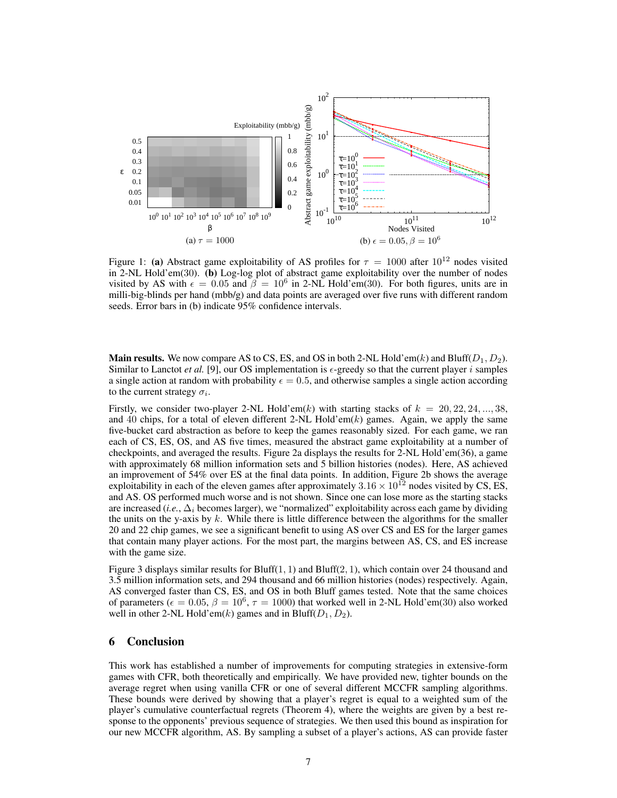

Figure 1: (a) Abstract game exploitability of AS profiles for  $\tau = 1000$  after  $10^{12}$  nodes visited in 2-NL Hold'em(30). (b) Log-log plot of abstract game exploitability over the number of nodes visited by AS with  $\epsilon = 0.05$  and  $\beta = 10^6$  in 2-NL Hold'em(30). For both figures, units are in milli-big-blinds per hand (mbb/g) and data points are averaged over five runs with different random seeds. Error bars in (b) indicate 95% confidence intervals.

**Main results.** We now compare AS to CS, ES, and OS in both 2-NL Hold'em(k) and Bluff( $D_1, D_2$ ). Similar to Lanctot *et al.* [9], our OS implementation is  $\epsilon$ -greedy so that the current player *i* samples a single action at random with probability  $\epsilon = 0.5$ , and otherwise samples a single action according to the current strategy  $\sigma_i$ .

Firstly, we consider two-player 2-NL Hold'em(k) with starting stacks of  $k = 20, 22, 24, ..., 38$ , and 40 chips, for a total of eleven different 2-NL Hold'em(k) games. Again, we apply the same five-bucket card abstraction as before to keep the games reasonably sized. For each game, we ran each of CS, ES, OS, and AS five times, measured the abstract game exploitability at a number of checkpoints, and averaged the results. Figure 2a displays the results for 2-NL Hold'em(36), a game with approximately 68 million information sets and 5 billion histories (nodes). Here, AS achieved an improvement of 54% over ES at the final data points. In addition, Figure 2b shows the average exploitability in each of the eleven games after approximately  $3.16 \times 10^{12}$  nodes visited by CS, ES, and AS. OS performed much worse and is not shown. Since one can lose more as the starting stacks are increased (*i.e.*,  $\Delta_i$  becomes larger), we "normalized" exploitability across each game by dividing the units on the y-axis by  $k$ . While there is little difference between the algorithms for the smaller 20 and 22 chip games, we see a significant benefit to using AS over CS and ES for the larger games that contain many player actions. For the most part, the margins between AS, CS, and ES increase with the game size.

Figure 3 displays similar results for Bluff $(1, 1)$  and Bluff $(2, 1)$ , which contain over 24 thousand and 3.5 million information sets, and 294 thousand and 66 million histories (nodes) respectively. Again, AS converged faster than CS, ES, and OS in both Bluff games tested. Note that the same choices of parameters ( $\epsilon = 0.05$ ,  $\beta = 10^6$ ,  $\tau = 1000$ ) that worked well in 2-NL Hold'em(30) also worked well in other 2-NL Hold'em(k) games and in Bluff( $D_1, D_2$ ).

#### 6 Conclusion

This work has established a number of improvements for computing strategies in extensive-form games with CFR, both theoretically and empirically. We have provided new, tighter bounds on the average regret when using vanilla CFR or one of several different MCCFR sampling algorithms. These bounds were derived by showing that a player's regret is equal to a weighted sum of the player's cumulative counterfactual regrets (Theorem 4), where the weights are given by a best response to the opponents' previous sequence of strategies. We then used this bound as inspiration for our new MCCFR algorithm, AS. By sampling a subset of a player's actions, AS can provide faster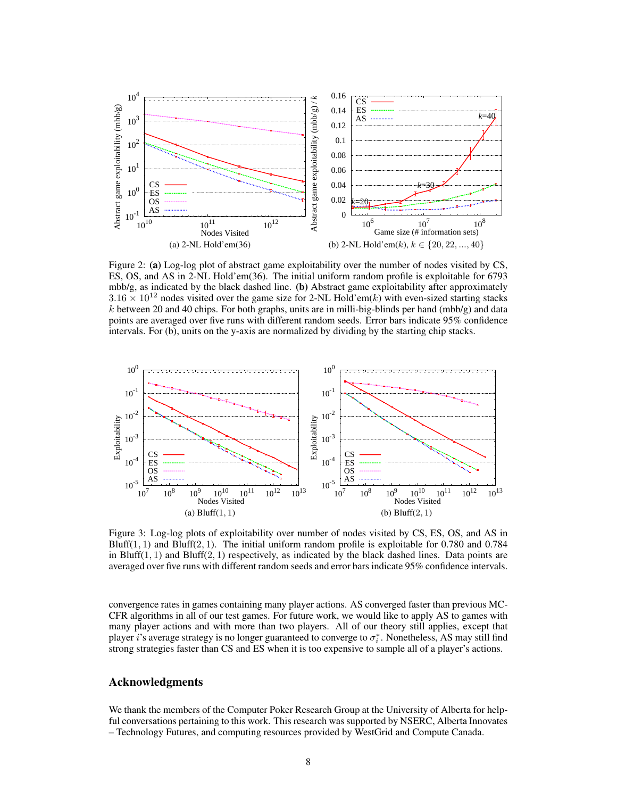

Figure 2: (a) Log-log plot of abstract game exploitability over the number of nodes visited by CS, ES, OS, and AS in 2-NL Hold'em(36). The initial uniform random profile is exploitable for 6793 mbb/g, as indicated by the black dashed line. (b) Abstract game exploitability after approximately  $3.16 \times 10^{12}$  nodes visited over the game size for 2-NL Hold'em(k) with even-sized starting stacks  $k$  between 20 and 40 chips. For both graphs, units are in milli-big-blinds per hand (mbb/g) and data points are averaged over five runs with different random seeds. Error bars indicate 95% confidence intervals. For (b), units on the y-axis are normalized by dividing by the starting chip stacks.



Figure 3: Log-log plots of exploitability over number of nodes visited by CS, ES, OS, and AS in Bluff(1, 1) and Bluff(2, 1). The initial uniform random profile is exploitable for 0.780 and 0.784 in Bluff $(1, 1)$  and Bluff $(2, 1)$  respectively, as indicated by the black dashed lines. Data points are averaged over five runs with different random seeds and error bars indicate 95% confidence intervals.

convergence rates in games containing many player actions. AS converged faster than previous MC-CFR algorithms in all of our test games. For future work, we would like to apply AS to games with many player actions and with more than two players. All of our theory still applies, except that player i's average strategy is no longer guaranteed to converge to  $\sigma_i^*$ . Nonetheless, AS may still find strong strategies faster than CS and ES when it is too expensive to sample all of a player's actions.

# Acknowledgments

We thank the members of the Computer Poker Research Group at the University of Alberta for helpful conversations pertaining to this work. This research was supported by NSERC, Alberta Innovates – Technology Futures, and computing resources provided by WestGrid and Compute Canada.